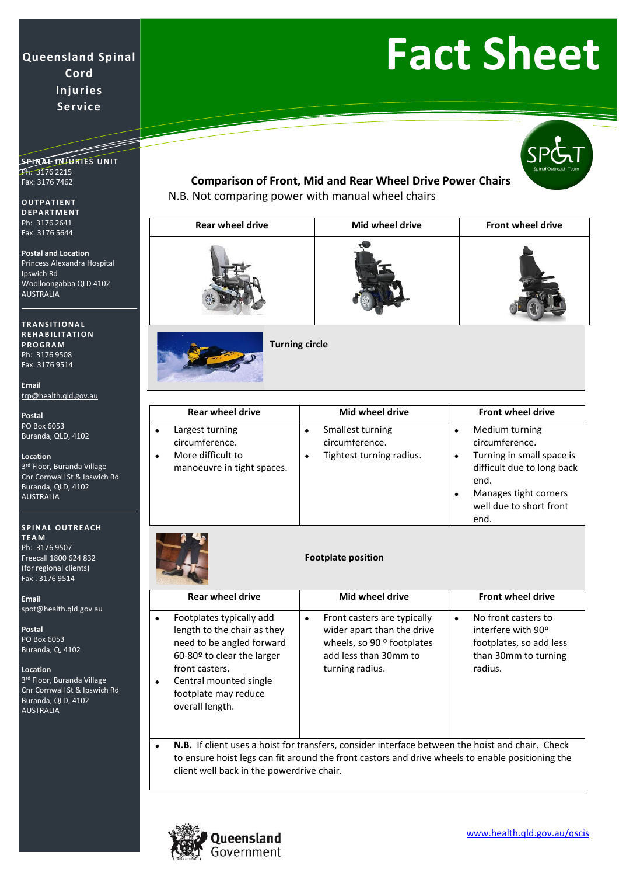#### **S P I N A L I N J U R I E S U N I T** Ph: 3176 2215 Fax: 3176 7462

**O U T P A T I E N T D E P A R T M E N T** Ph: 3176 2641 Fax: 3176 5644

**Postal and Location** Princess Alexandra Hospital Ipswich Rd Woolloongabba QLD 4102 AUSTRALIA

**T R A N S I T I O N A L R E H A B I LI T A T I O N P R O G R A M** Ph: 3176 9508 Fax: 3176 9514

**Email** [trp@health.qld.gov.au](mailto:trp@health.qld.gov.au)

**Postal** PO Box 6053 Buranda, QLD, 4102

**Location**

3<sup>rd</sup> Floor, Buranda Village Cnr Cornwall St & Ipswich Rd Buranda, QLD, 4102 AUSTRALIA

### **SPINAL OUTREACH T E A M**

Ph: 3176 9507 Freecall 1800 624 832 (for regional clients) Fax : 3176 9514

**Email** [spot@health.qld.gov.au](mailto:spot@health.qld.gov.au)

**Postal** PO Box 6053 Buranda, Q, 4102

**Location**

3<sup>rd</sup> Floor, Buranda Village Cnr Cornwall St & Ipswich Rd Buranda, QLD, 4102 AUSTRALIA

## **Fact Sheet**

## **Comparison of Front, Mid and Rear Wheel Drive Power Chairs**

N.B. Not comparing power with manual wheel chairs

| <b>Rear wheel drive</b> | Mid wheel drive | Front wheel drive |
|-------------------------|-----------------|-------------------|
|                         |                 |                   |



**Turning circle** 

| <b>Rear wheel drive</b>                                                                                | Mid wheel drive                                                          | <b>Front wheel drive</b>                                                                                                                                                       |
|--------------------------------------------------------------------------------------------------------|--------------------------------------------------------------------------|--------------------------------------------------------------------------------------------------------------------------------------------------------------------------------|
| Largest turning<br>٠<br>circumference.<br>More difficult to<br>$\bullet$<br>manoeuvre in tight spaces. | Smallest turning<br>٠<br>circumference.<br>Tightest turning radius.<br>٠ | Medium turning<br>٠<br>circumference.<br>Turning in small space is<br>٠<br>difficult due to long back<br>end.<br>Manages tight corners<br>٠<br>well due to short front<br>end. |



### **Footplate position**

| <b>Rear wheel drive</b>                                                                                                                                                                                                             | Mid wheel drive                                                                                                                            | <b>Front wheel drive</b>                                                                                             |
|-------------------------------------------------------------------------------------------------------------------------------------------------------------------------------------------------------------------------------------|--------------------------------------------------------------------------------------------------------------------------------------------|----------------------------------------------------------------------------------------------------------------------|
| Footplates typically add<br>$\bullet$<br>length to the chair as they<br>need to be angled forward<br>60-80º to clear the larger<br>front casters.<br>Central mounted single<br>$\bullet$<br>footplate may reduce<br>overall length. | Front casters are typically<br>٠<br>wider apart than the drive<br>wheels, so 90 $9$ footplates<br>add less than 30mm to<br>turning radius. | No front casters to<br>$\bullet$<br>interfere with 90°<br>footplates, so add less<br>than 30mm to turning<br>radius. |

• **N.B.** If client uses a hoist for transfers, consider interface between the hoist and chair. Check to ensure hoist legs can fit around the front castors and drive wheels to enable positioning the client well back in the powerdrive chair.

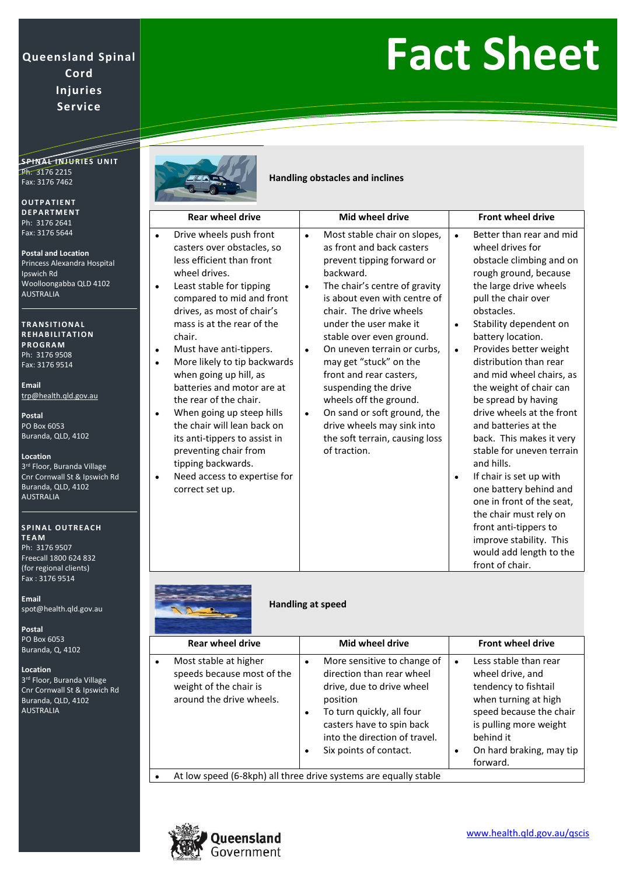## **Fact Sheet**

SPINA<del>L INJURIES</del> UNIT Ph: 3176 2215 Fax: 3176 7462

**O U T P A T I E N T D E P A R T M E N T** Ph: 3176 2641 Fax: 3176 5644

**Postal and Location** Princess Alexandra Hospital Ipswich Rd Woolloongabba QLD 4102 AUSTRALIA

**T R A N S I T I O N A L R E H A B I LI T A T I O N P R O G R A M** Ph: 3176 9508 Fax: 3176 9514

**Email** [trp@health.qld.gov.au](mailto:trp@health.qld.gov.au)

**Postal** PO Box 6053 Buranda, QLD, 4102

**Location**

3<sup>rd</sup> Floor, Buranda Village Cnr Cornwall St & Ipswich Rd Buranda, QLD, 4102 AUSTRALIA

#### **SPINAL OUTREACH T E A M**

Ph: 3176 9507 Freecall 1800 624 832 (for regional clients) Fax : 3176 9514

**Email** [spot@health.qld.gov.au](mailto:spot@health.qld.gov.au)

**Postal** PO Box 6053 Buranda, Q, 4102

**Location** 3<sup>rd</sup> Floor, Buranda Village Cnr Cornwall St & Ipswich Rd Buranda, QLD, 4102 AUSTRALIA



**Handling obstacles and inclines**

| <b>Rear wheel drive</b>                                                                                                                                                                                                                                                                                                                                                                                                                                                                                                                                                                                                                                      | Mid wheel drive                                                                                                                                                                                                                                                                                                                                                                                                                                                                                                                                                 | <b>Front wheel drive</b>                                                                                                                                                                                                                                                                                                                                                                                                                                                                                                                                                                                                                                                                                                        |
|--------------------------------------------------------------------------------------------------------------------------------------------------------------------------------------------------------------------------------------------------------------------------------------------------------------------------------------------------------------------------------------------------------------------------------------------------------------------------------------------------------------------------------------------------------------------------------------------------------------------------------------------------------------|-----------------------------------------------------------------------------------------------------------------------------------------------------------------------------------------------------------------------------------------------------------------------------------------------------------------------------------------------------------------------------------------------------------------------------------------------------------------------------------------------------------------------------------------------------------------|---------------------------------------------------------------------------------------------------------------------------------------------------------------------------------------------------------------------------------------------------------------------------------------------------------------------------------------------------------------------------------------------------------------------------------------------------------------------------------------------------------------------------------------------------------------------------------------------------------------------------------------------------------------------------------------------------------------------------------|
| Drive wheels push front<br>$\bullet$<br>casters over obstacles, so<br>less efficient than front<br>wheel drives.<br>Least stable for tipping<br>$\bullet$<br>compared to mid and front<br>drives, as most of chair's<br>mass is at the rear of the<br>chair.<br>Must have anti-tippers.<br>$\bullet$<br>More likely to tip backwards<br>$\bullet$<br>when going up hill, as<br>batteries and motor are at<br>the rear of the chair.<br>When going up steep hills<br>$\bullet$<br>the chair will lean back on<br>its anti-tippers to assist in<br>preventing chair from<br>tipping backwards.<br>Need access to expertise for<br>$\bullet$<br>correct set up. | Most stable chair on slopes,<br>$\bullet$<br>as front and back casters<br>prevent tipping forward or<br>backward.<br>The chair's centre of gravity<br>$\bullet$<br>is about even with centre of<br>chair. The drive wheels<br>under the user make it<br>stable over even ground.<br>On uneven terrain or curbs,<br>$\bullet$<br>may get "stuck" on the<br>front and rear casters,<br>suspending the drive<br>wheels off the ground.<br>On sand or soft ground, the<br>$\bullet$<br>drive wheels may sink into<br>the soft terrain, causing loss<br>of traction. | Better than rear and mid<br>$\bullet$<br>wheel drives for<br>obstacle climbing and on<br>rough ground, because<br>the large drive wheels<br>pull the chair over<br>obstacles.<br>Stability dependent on<br>٠<br>battery location.<br>Provides better weight<br>$\bullet$<br>distribution than rear<br>and mid wheel chairs, as<br>the weight of chair can<br>be spread by having<br>drive wheels at the front<br>and batteries at the<br>back. This makes it very<br>stable for uneven terrain<br>and hills.<br>If chair is set up with<br>٠<br>one battery behind and<br>one in front of the seat,<br>the chair must rely on<br>front anti-tippers to<br>improve stability. This<br>would add length to the<br>front of chair. |

**Handling at speed** 

|           | <b>Rear wheel drive</b>                                                                                   | Mid wheel drive                                                                                                                                                                                                                               | <b>Front wheel drive</b>                                                                                                                                                                                              |  |
|-----------|-----------------------------------------------------------------------------------------------------------|-----------------------------------------------------------------------------------------------------------------------------------------------------------------------------------------------------------------------------------------------|-----------------------------------------------------------------------------------------------------------------------------------------------------------------------------------------------------------------------|--|
| $\bullet$ | Most stable at higher<br>speeds because most of the<br>weight of the chair is<br>around the drive wheels. | More sensitive to change of<br>$\bullet$<br>direction than rear wheel<br>drive, due to drive wheel<br>position<br>To turn quickly, all four<br>٠<br>casters have to spin back<br>into the direction of travel.<br>Six points of contact.<br>٠ | Less stable than rear<br>$\bullet$<br>wheel drive, and<br>tendency to fishtail<br>when turning at high<br>speed because the chair<br>is pulling more weight<br>behind it<br>On hard braking, may tip<br>٠<br>forward. |  |
|           |                                                                                                           | At low speed (6-8kph) all three drive systems are equally stable                                                                                                                                                                              |                                                                                                                                                                                                                       |  |

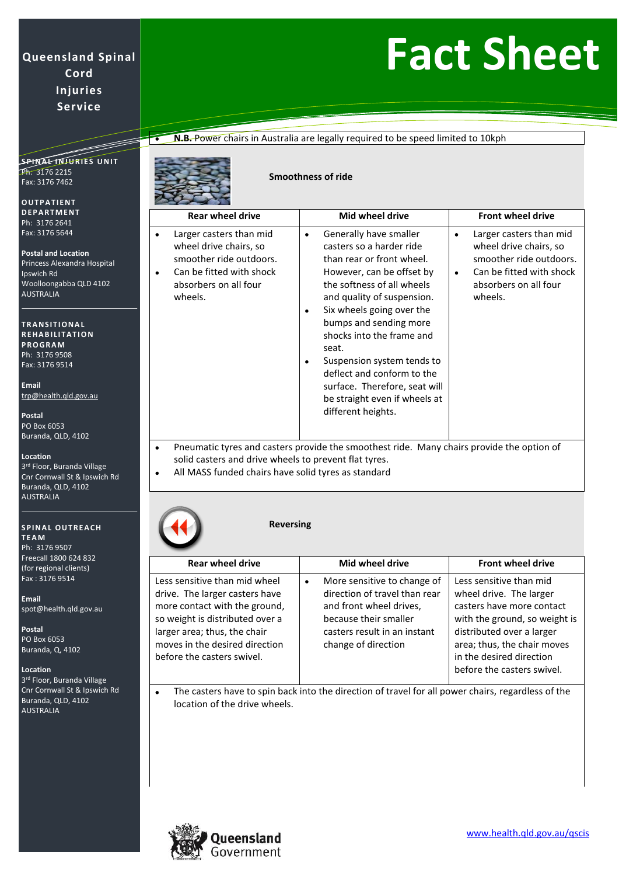## **Fact Sheet**

**• N.B.** Power chairs in Australia are legally required to be speed limited to 10kph

**S P I N A L I N J U R I E S U N I T** Ph: 3176 2215 Fax: 3176 7462

**O U T P A T I E N T D E P A R T M E N T** Ph: 3176 2641 Fax: 3176 5644

**Postal and Location** Princess Alexandra Hospital Ipswich Rd Woolloongabba QLD 4102 AUSTRALIA

**T R A N S I T I O N A L R E H A B I LI T A T I O N P R O G R A M** Ph: 3176 9508 Fax: 3176 9514

**Email** [trp@health.qld.gov.au](mailto:trp@health.qld.gov.au)

**Postal** PO Box 6053 Buranda, QLD, 4102

**Location**

3<sup>rd</sup> Floor, Buranda Village Cnr Cornwall St & Ipswich Rd Buranda, QLD, 4102 AUSTRALIA

**SPINAL OUTREACH T E A M**

Ph: 3176 9507 Freecall 1800 624 832 (for regional clients) Fax : 3176 9514

**Email** [spot@health.qld.gov.au](mailto:spot@health.qld.gov.au)

**Postal** PO Box 6053 Buranda, Q, 4102

**Location**

3<sup>rd</sup> Floor, Buranda Village Cnr Cornwall St & Ipswich Rd Buranda, QLD, 4102 AUSTRALIA

**Smoothness of ride**

| <b>Rear wheel drive</b>                                                                                                                      | Mid wheel drive                                                                                                                                                                                                                                                                                                                                                                                                                |   | <b>Front wheel drive</b>                                                                                                                     |
|----------------------------------------------------------------------------------------------------------------------------------------------|--------------------------------------------------------------------------------------------------------------------------------------------------------------------------------------------------------------------------------------------------------------------------------------------------------------------------------------------------------------------------------------------------------------------------------|---|----------------------------------------------------------------------------------------------------------------------------------------------|
| Larger casters than mid<br>wheel drive chairs, so<br>smoother ride outdoors.<br>Can be fitted with shock<br>absorbers on all four<br>wheels. | Generally have smaller<br>٠<br>casters so a harder ride<br>than rear or front wheel.<br>However, can be offset by<br>the softness of all wheels<br>and quality of suspension.<br>Six wheels going over the<br>bumps and sending more<br>shocks into the frame and<br>seat.<br>Suspension system tends to<br>deflect and conform to the<br>surface. Therefore, seat will<br>be straight even if wheels at<br>different heights. | ٠ | Larger casters than mid<br>wheel drive chairs, so<br>smoother ride outdoors.<br>Can be fitted with shock<br>absorbers on all four<br>wheels. |

• Pneumatic tyres and casters provide the smoothest ride. Many chairs provide the option of solid casters and drive wheels to prevent flat tyres.

• All MASS funded chairs have solid tyres as standard

### **Reversing**

| <b>Rear wheel drive</b>                                                                                                                                                                                                             | Mid wheel drive                                                                                                                                                              | <b>Front wheel drive</b>                                                                                                                                                                                                               |
|-------------------------------------------------------------------------------------------------------------------------------------------------------------------------------------------------------------------------------------|------------------------------------------------------------------------------------------------------------------------------------------------------------------------------|----------------------------------------------------------------------------------------------------------------------------------------------------------------------------------------------------------------------------------------|
| Less sensitive than mid wheel<br>drive. The larger casters have<br>more contact with the ground,<br>so weight is distributed over a<br>larger area; thus, the chair<br>moves in the desired direction<br>before the casters swivel. | More sensitive to change of<br>٠<br>direction of travel than rear<br>and front wheel drives,<br>because their smaller<br>casters result in an instant<br>change of direction | Less sensitive than mid<br>wheel drive. The larger<br>casters have more contact<br>with the ground, so weight is<br>distributed over a larger<br>area; thus, the chair moves<br>in the desired direction<br>before the casters swivel. |

• The casters have to spin back into the direction of travel for all power chairs, regardless of the location of the drive wheels.